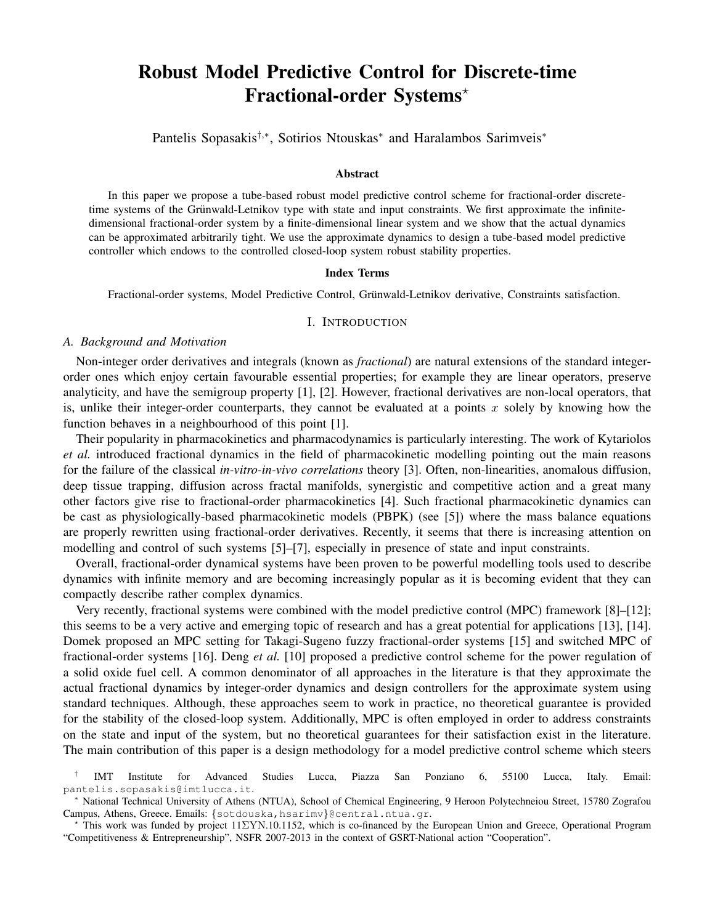# Robust Model Predictive Control for Discrete-time Fractional-order Systems?

Pantelis Sopasakis<sup>†,∗</sup>, Sotirios Ntouskas<sup>∗</sup> and Haralambos Sarimveis<sup>∗</sup>

## Abstract

In this paper we propose a tube-based robust model predictive control scheme for fractional-order discretetime systems of the Grünwald-Letnikov type with state and input constraints. We first approximate the infinitedimensional fractional-order system by a finite-dimensional linear system and we show that the actual dynamics can be approximated arbitrarily tight. We use the approximate dynamics to design a tube-based model predictive controller which endows to the controlled closed-loop system robust stability properties.

#### Index Terms

Fractional-order systems, Model Predictive Control, Grünwald-Letnikov derivative, Constraints satisfaction.

#### I. INTRODUCTION

## *A. Background and Motivation*

Non-integer order derivatives and integrals (known as *fractional*) are natural extensions of the standard integerorder ones which enjoy certain favourable essential properties; for example they are linear operators, preserve analyticity, and have the semigroup property [1], [2]. However, fractional derivatives are non-local operators, that is, unlike their integer-order counterparts, they cannot be evaluated at a points  $x$  solely by knowing how the function behaves in a neighbourhood of this point [1].

Their popularity in pharmacokinetics and pharmacodynamics is particularly interesting. The work of Kytariolos *et al.* introduced fractional dynamics in the field of pharmacokinetic modelling pointing out the main reasons for the failure of the classical *in-vitro-in-vivo correlations* theory [3]. Often, non-linearities, anomalous diffusion, deep tissue trapping, diffusion across fractal manifolds, synergistic and competitive action and a great many other factors give rise to fractional-order pharmacokinetics [4]. Such fractional pharmacokinetic dynamics can be cast as physiologically-based pharmacokinetic models (PBPK) (see [5]) where the mass balance equations are properly rewritten using fractional-order derivatives. Recently, it seems that there is increasing attention on modelling and control of such systems [5]–[7], especially in presence of state and input constraints.

Overall, fractional-order dynamical systems have been proven to be powerful modelling tools used to describe dynamics with infinite memory and are becoming increasingly popular as it is becoming evident that they can compactly describe rather complex dynamics.

Very recently, fractional systems were combined with the model predictive control (MPC) framework [8]–[12]; this seems to be a very active and emerging topic of research and has a great potential for applications [13], [14]. Domek proposed an MPC setting for Takagi-Sugeno fuzzy fractional-order systems [15] and switched MPC of fractional-order systems [16]. Deng *et al.* [10] proposed a predictive control scheme for the power regulation of a solid oxide fuel cell. A common denominator of all approaches in the literature is that they approximate the actual fractional dynamics by integer-order dynamics and design controllers for the approximate system using standard techniques. Although, these approaches seem to work in practice, no theoretical guarantee is provided for the stability of the closed-loop system. Additionally, MPC is often employed in order to address constraints on the state and input of the system, but no theoretical guarantees for their satisfaction exist in the literature. The main contribution of this paper is a design methodology for a model predictive control scheme which steers

<sup>†</sup> IMT Institute for Advanced Studies Lucca, Piazza San Ponziano 6, 55100 Lucca, Italy. Email: pantelis.sopasakis@imtlucca.it.

<sup>∗</sup> National Technical University of Athens (NTUA), School of Chemical Engineering, 9 Heroon Polytechneiou Street, 15780 Zografou Campus, Athens, Greece. Emails: {sotdouska, hsarimv}@central.ntua.gr.

<sup>?</sup> This work was funded by project 11ΣYN.10.1152, which is co-financed by the European Union and Greece, Operational Program "Competitiveness & Entrepreneurship", NSFR 2007-2013 in the context of GSRT-National action "Cooperation".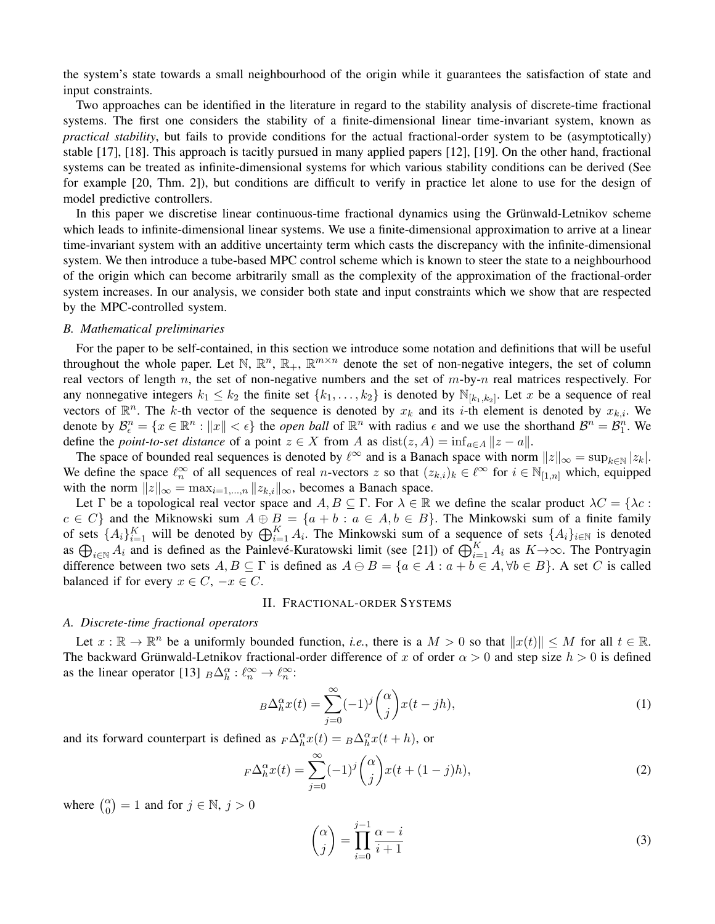the system's state towards a small neighbourhood of the origin while it guarantees the satisfaction of state and input constraints.

Two approaches can be identified in the literature in regard to the stability analysis of discrete-time fractional systems. The first one considers the stability of a finite-dimensional linear time-invariant system, known as *practical stability*, but fails to provide conditions for the actual fractional-order system to be (asymptotically) stable [17], [18]. This approach is tacitly pursued in many applied papers [12], [19]. On the other hand, fractional systems can be treated as infinite-dimensional systems for which various stability conditions can be derived (See for example [20, Thm. 2]), but conditions are difficult to verify in practice let alone to use for the design of model predictive controllers.

In this paper we discretise linear continuous-time fractional dynamics using the Grünwald-Letnikov scheme which leads to infinite-dimensional linear systems. We use a finite-dimensional approximation to arrive at a linear time-invariant system with an additive uncertainty term which casts the discrepancy with the infinite-dimensional system. We then introduce a tube-based MPC control scheme which is known to steer the state to a neighbourhood of the origin which can become arbitrarily small as the complexity of the approximation of the fractional-order system increases. In our analysis, we consider both state and input constraints which we show that are respected by the MPC-controlled system.

## *B. Mathematical preliminaries*

For the paper to be self-contained, in this section we introduce some notation and definitions that will be useful throughout the whole paper. Let N,  $\mathbb{R}^n$ ,  $\mathbb{R}_+$ ,  $\mathbb{R}^{m \times n}$  denote the set of non-negative integers, the set of column real vectors of length n, the set of non-negative numbers and the set of  $m$ -by-n real matrices respectively. For any nonnegative integers  $k_1 \leq k_2$  the finite set  $\{k_1, \ldots, k_2\}$  is denoted by  $\mathbb{N}_{[k_1,k_2]}$ . Let x be a sequence of real vectors of  $\mathbb{R}^n$ . The k-th vector of the sequence is denoted by  $x_k$  and its i-th element is denoted by  $x_{k,i}$ . We denote by  $\mathcal{B}_{\epsilon}^{n} = \{x \in \mathbb{R}^{n} : ||x|| < \epsilon\}$  the *open ball* of  $\mathbb{R}^{n}$  with radius  $\epsilon$  and we use the shorthand  $\mathcal{B}^{n} = \mathcal{B}_{1}^{n}$ . We define the *point-to-set distance* of a point  $z \in X$  from A as  $dist(z, A) = inf_{a \in A} ||z - a||$ .

The space of bounded real sequences is denoted by  $\ell^{\infty}$  and is a Banach space with norm  $||z||_{\infty} = \sup_{k \in \mathbb{N}} |z_k|$ . We define the space  $\ell_n^{\infty}$  of all sequences of real *n*-vectors z so that  $(z_{k,i})_k \in \ell^{\infty}$  for  $i \in \mathbb{N}_{[1,n]}$  which, equipped with the norm  $||z||_{\infty} = \max_{i=1,\dots,n} ||z_{k,i}||_{\infty}$ , becomes a Banach space.

Let Γ be a topological real vector space and  $A, B \subseteq \Gamma$ . For  $\lambda \in \mathbb{R}$  we define the scalar product  $\lambda C = \{\lambda c :$  $c \in C$  and the Miknowski sum  $A \oplus B = \{a + b : a \in A, b \in B\}$ . The Minkowski sum of a finite family of sets  $\{A_i\}_{i=1}^K$  will be denoted by  $\bigoplus_{i=1}^K A_i$ . The Minkowski sum of a sequence of sets  $\{A_i\}_{i\in\mathbb{N}}$  is denoted as  $\bigoplus_{i\in\mathbb{N}}A_i$  and is defined as the Painlevé-Kuratowski limit (see [21]) of  $\bigoplus_{i=1}^K A_i$  as  $K\to\infty$ . The Pontryagin difference between two sets  $A, B \subseteq \Gamma$  is defined as  $A \ominus B = \{a \in A : a + b \in A, \forall b \in B\}$ . A set C is called balanced if for every  $x \in C$ ,  $-x \in C$ .

## II. FRACTIONAL-ORDER SYSTEMS

## *A. Discrete-time fractional operators*

Let  $x : \mathbb{R} \to \mathbb{R}^n$  be a uniformly bounded function, *i.e.*, there is a  $M > 0$  so that  $||x(t)|| \le M$  for all  $t \in \mathbb{R}$ . The backward Grünwald-Letnikov fractional-order difference of x of order  $\alpha > 0$  and step size  $h > 0$  is defined as the linear operator [13]  $_B\Delta_h^{\alpha} : \ell_n^{\infty} \to \ell_n^{\infty}$ :

$$
B\Delta_h^{\alpha}x(t) = \sum_{j=0}^{\infty} (-1)^j {\alpha \choose j} x(t - jh), \qquad (1)
$$

and its forward counterpart is defined as  $_F\Delta_h^{\alpha}x(t) = B\Delta_h^{\alpha}x(t+h)$ , or

$$
F\Delta_h^{\alpha}x(t) = \sum_{j=0}^{\infty} (-1)^j {\alpha \choose j} x(t + (1-j)h), \tag{2}
$$

where  $\binom{\alpha}{0} = 1$  and for  $j \in \mathbb{N}, j > 0$ 

$$
\binom{\alpha}{j} = \prod_{i=0}^{j-1} \frac{\alpha - i}{i+1} \tag{3}
$$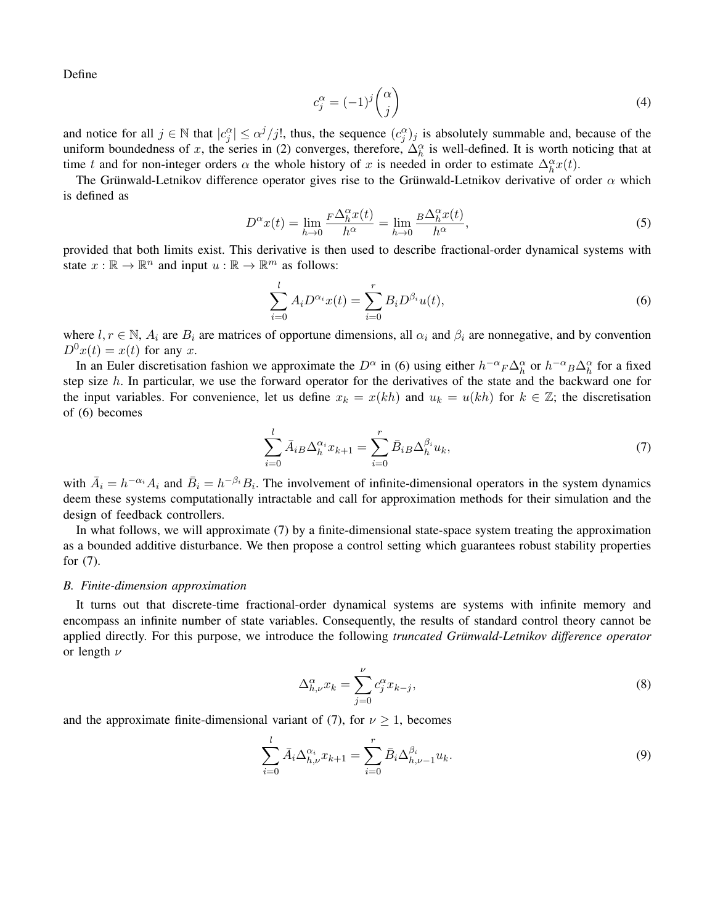Define

$$
c_j^{\alpha} = (-1)^j \binom{\alpha}{j} \tag{4}
$$

and notice for all  $j \in \mathbb{N}$  that  $|c_j^{\alpha}| \leq \alpha^j/j!$ , thus, the sequence  $(c_j^{\alpha})_j$  is absolutely summable and, because of the uniform boundedness of x, the series in (2) converges, therefore,  $\Delta_h^{\alpha}$  is well-defined. It is worth noticing that at time t and for non-integer orders  $\alpha$  the whole history of x is needed in order to estimate  $\Delta_h^{\alpha}x(t)$ .

The Grünwald-Letnikov difference operator gives rise to the Grünwald-Letnikov derivative of order  $\alpha$  which is defined as

$$
D^{\alpha}x(t) = \lim_{h \to 0} \frac{F\Delta_h^{\alpha}x(t)}{h^{\alpha}} = \lim_{h \to 0} \frac{B\Delta_h^{\alpha}x(t)}{h^{\alpha}},
$$
\n(5)

provided that both limits exist. This derivative is then used to describe fractional-order dynamical systems with state  $x : \mathbb{R} \to \mathbb{R}^n$  and input  $u : \mathbb{R} \to \mathbb{R}^m$  as follows:

$$
\sum_{i=0}^{l} A_i D^{\alpha_i} x(t) = \sum_{i=0}^{r} B_i D^{\beta_i} u(t),
$$
\n(6)

where  $l, r \in \mathbb{N}$ ,  $A_i$  are  $B_i$  are matrices of opportune dimensions, all  $\alpha_i$  and  $\beta_i$  are nonnegative, and by convention  $D^{0}x(t) = x(t)$  for any x.

In an Euler discretisation fashion we approximate the  $D^{\alpha}$  in (6) using either  $h^{-\alpha}{}_{F}\Delta_{h}^{\alpha}$  or  $h^{-\alpha}{}_{B}\Delta_{h}^{\alpha}$  for a fixed step size h. In particular, we use the forward operator for the derivatives of the state and the backward one for the input variables. For convenience, let us define  $x_k = x(kh)$  and  $u_k = u(kh)$  for  $k \in \mathbb{Z}$ ; the discretisation of (6) becomes

$$
\sum_{i=0}^{l} \bar{A}_{iB} \Delta_h^{\alpha_i} x_{k+1} = \sum_{i=0}^{r} \bar{B}_{iB} \Delta_h^{\beta_i} u_k,
$$
\n<sup>(7)</sup>

with  $\bar{A}_i = h^{-\alpha_i} A_i$  and  $\bar{B}_i = h^{-\beta_i} B_i$ . The involvement of infinite-dimensional operators in the system dynamics deem these systems computationally intractable and call for approximation methods for their simulation and the design of feedback controllers.

In what follows, we will approximate (7) by a finite-dimensional state-space system treating the approximation as a bounded additive disturbance. We then propose a control setting which guarantees robust stability properties for (7).

## *B. Finite-dimension approximation*

It turns out that discrete-time fractional-order dynamical systems are systems with infinite memory and encompass an infinite number of state variables. Consequently, the results of standard control theory cannot be applied directly. For this purpose, we introduce the following *truncated Grunwald-Letnikov difference operator ¨* or length  $\nu$ 

$$
\Delta_{h,\nu}^{\alpha} x_k = \sum_{j=0}^{\nu} c_j^{\alpha} x_{k-j},\tag{8}
$$

and the approximate finite-dimensional variant of (7), for  $\nu \geq 1$ , becomes

$$
\sum_{i=0}^{l} \bar{A}_{i} \Delta_{h,\nu}^{\alpha_{i}} x_{k+1} = \sum_{i=0}^{r} \bar{B}_{i} \Delta_{h,\nu-1}^{\beta_{i}} u_{k}.
$$
\n(9)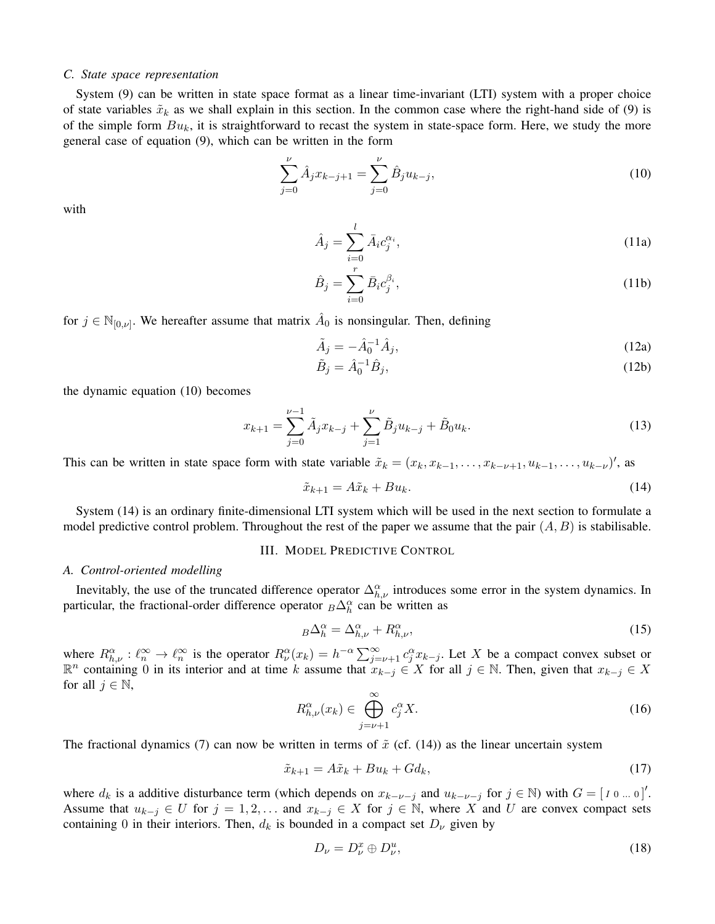## *C. State space representation*

System (9) can be written in state space format as a linear time-invariant (LTI) system with a proper choice of state variables  $\tilde{x}_k$  as we shall explain in this section. In the common case where the right-hand side of (9) is of the simple form  $Bu_k$ , it is straightforward to recast the system in state-space form. Here, we study the more general case of equation (9), which can be written in the form

$$
\sum_{j=0}^{\nu} \hat{A}_j x_{k-j+1} = \sum_{j=0}^{\nu} \hat{B}_j u_{k-j},
$$
\n(10)

with

$$
\hat{A}_j = \sum_{i=0}^l \bar{A}_i c_j^{\alpha_i},\tag{11a}
$$

$$
\hat{B}_j = \sum_{i=0}^r \bar{B}_i c_j^{\beta_i},\tag{11b}
$$

for  $j \in \mathbb{N}_{[0,\nu]}$ . We hereafter assume that matrix  $\hat{A}_0$  is nonsingular. Then, defining

$$
\tilde{A}_j = -\hat{A}_0^{-1}\hat{A}_j,\tag{12a}
$$

$$
\tilde{B}_j = \hat{A}_0^{-1} \hat{B}_j,\tag{12b}
$$

the dynamic equation (10) becomes

$$
x_{k+1} = \sum_{j=0}^{\nu-1} \tilde{A}_j x_{k-j} + \sum_{j=1}^{\nu} \tilde{B}_j u_{k-j} + \tilde{B}_0 u_k.
$$
 (13)

This can be written in state space form with state variable  $\tilde{x}_k = (x_k, x_{k-1}, \dots, x_{k-\nu+1}, u_{k-1}, \dots, u_{k-\nu})'$ , as

$$
\tilde{x}_{k+1} = A\tilde{x}_k + Bu_k. \tag{14}
$$

System (14) is an ordinary finite-dimensional LTI system which will be used in the next section to formulate a model predictive control problem. Throughout the rest of the paper we assume that the pair  $(A, B)$  is stabilisable.

#### III. MODEL PREDICTIVE CONTROL

## *A. Control-oriented modelling*

Inevitably, the use of the truncated difference operator  $\Delta_{h,\nu}^{\alpha}$  introduces some error in the system dynamics. In particular, the fractional-order difference operator  $_B\Delta_h^{\alpha}$  can be written as

$$
B\Delta_h^{\alpha} = \Delta_{h,\nu}^{\alpha} + R_{h,\nu}^{\alpha},\tag{15}
$$

where  $R_{h,\nu}^{\alpha} : \ell_{n}^{\infty} \to \ell_{n}^{\infty}$  is the operator  $R_{\nu}^{\alpha}(x_k) = h^{-\alpha} \sum_{j=\nu+1}^{\infty} c_j^{\alpha} x_{k-j}$ . Let X be a compact convex subset or  $\mathbb{R}^n$  containing 0 in its interior and at time k assume that  $x_{k-j} \in X$  for all  $j \in \mathbb{N}$ . Then, given that  $x_{k-j} \in X$ for all  $j \in \mathbb{N}$ ,

$$
R_{h,\nu}^{\alpha}(x_k) \in \bigoplus_{j=\nu+1}^{\infty} c_j^{\alpha} X. \tag{16}
$$

The fractional dynamics (7) can now be written in terms of  $\tilde{x}$  (cf. (14)) as the linear uncertain system

$$
\tilde{x}_{k+1} = A\tilde{x}_k + Bu_k + Gd_k,\tag{17}
$$

where  $d_k$  is a additive disturbance term (which depends on  $x_{k-\nu-j}$  and  $u_{k-\nu-j}$  for  $j \in \mathbb{N}$ ) with  $G = [1 \text{ or } 0]$ . Assume that  $u_{k-j} \in U$  for  $j = 1, 2, \ldots$  and  $x_{k-j} \in X$  for  $j \in \mathbb{N}$ , where X and U are convex compact sets containing 0 in their interiors. Then,  $d_k$  is bounded in a compact set  $D_{\nu}$  given by

$$
D_{\nu} = D_{\nu}^x \oplus D_{\nu}^u,\tag{18}
$$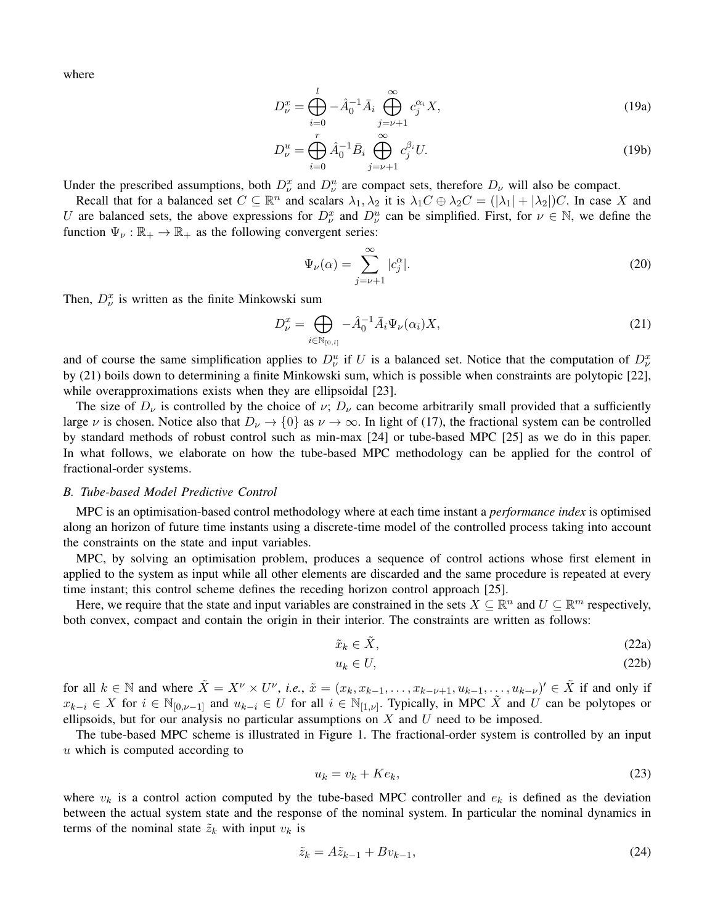where

$$
D_{\nu}^{x} = \bigoplus_{i=0}^{l} -\hat{A}_{0}^{-1} \bar{A}_{i} \bigoplus_{j=\nu+1}^{\infty} c_{j}^{\alpha_{i}} X,
$$
\n(19a)

$$
D_{\nu}^{u} = \bigoplus_{i=0}^{r} \hat{A}_{0}^{-1} \bar{B}_{i} \bigoplus_{j=\nu+1}^{\infty} c_{j}^{\beta_{i}} U.
$$
 (19b)

Under the prescribed assumptions, both  $D_{\nu}^{x}$  and  $D_{\nu}^{u}$  are compact sets, therefore  $D_{\nu}$  will also be compact.

Recall that for a balanced set  $C \subseteq \mathbb{R}^n$  and scalars  $\lambda_1, \lambda_2$  it is  $\lambda_1 C \oplus \lambda_2 C = (\vert \lambda_1 \vert + \vert \lambda_2 \vert)C$ . In case X and U are balanced sets, the above expressions for  $D_{\nu}^x$  and  $D_{\nu}^u$  can be simplified. First, for  $\nu \in \mathbb{N}$ , we define the function  $\Psi_{\nu} : \mathbb{R}_+ \to \mathbb{R}_+$  as the following convergent series:

$$
\Psi_{\nu}(\alpha) = \sum_{j=\nu+1}^{\infty} |c_j^{\alpha}|.
$$
\n(20)

Then,  $D_{\nu}^{x}$  is written as the finite Minkowski sum

$$
D_{\nu}^{x} = \bigoplus_{i \in \mathbb{N}_{[0,l]}} -\hat{A}_{0}^{-1} \bar{A}_{i} \Psi_{\nu}(\alpha_{i}) X,
$$
\n(21)

and of course the same simplification applies to  $D_{\nu}^u$  if U is a balanced set. Notice that the computation of  $D_{\nu}^x$ by (21) boils down to determining a finite Minkowski sum, which is possible when constraints are polytopic [22], while overapproximations exists when they are ellipsoidal [23].

The size of  $D_{\nu}$  is controlled by the choice of  $\nu$ ;  $D_{\nu}$  can become arbitrarily small provided that a sufficiently large  $\nu$  is chosen. Notice also that  $D_{\nu} \to \{0\}$  as  $\nu \to \infty$ . In light of (17), the fractional system can be controlled by standard methods of robust control such as min-max [24] or tube-based MPC [25] as we do in this paper. In what follows, we elaborate on how the tube-based MPC methodology can be applied for the control of fractional-order systems.

#### *B. Tube-based Model Predictive Control*

MPC is an optimisation-based control methodology where at each time instant a *performance index* is optimised along an horizon of future time instants using a discrete-time model of the controlled process taking into account the constraints on the state and input variables.

MPC, by solving an optimisation problem, produces a sequence of control actions whose first element in applied to the system as input while all other elements are discarded and the same procedure is repeated at every time instant; this control scheme defines the receding horizon control approach [25].

Here, we require that the state and input variables are constrained in the sets  $X \subseteq \mathbb{R}^n$  and  $U \subseteq \mathbb{R}^m$  respectively, both convex, compact and contain the origin in their interior. The constraints are written as follows:

$$
\tilde{x}_k \in \tilde{X},\tag{22a}
$$

$$
u_k \in U,\tag{22b}
$$

for all  $k \in \mathbb{N}$  and where  $\tilde{X} = X^{\nu} \times U^{\nu}$ , *i.e.*,  $\tilde{x} = (x_k, x_{k-1}, \dots, x_{k-\nu+1}, u_{k-1}, \dots, u_{k-\nu})' \in \tilde{X}$  if and only if  $x_{k-i} \in X$  for  $i \in \mathbb{N}_{[0,\nu-1]}$  and  $u_{k-i} \in U$  for all  $i \in \mathbb{N}_{[1,\nu]}$ . Typically, in MPC  $\tilde{X}$  and  $U$  can be polytopes or ellipsoids, but for our analysis no particular assumptions on  $X$  and  $U$  need to be imposed.

The tube-based MPC scheme is illustrated in Figure 1. The fractional-order system is controlled by an input u which is computed according to

$$
u_k = v_k + Ke_k,\tag{23}
$$

where  $v_k$  is a control action computed by the tube-based MPC controller and  $e_k$  is defined as the deviation between the actual system state and the response of the nominal system. In particular the nominal dynamics in terms of the nominal state  $\tilde{z}_k$  with input  $v_k$  is

$$
\tilde{z}_k = A\tilde{z}_{k-1} + Bv_{k-1},\tag{24}
$$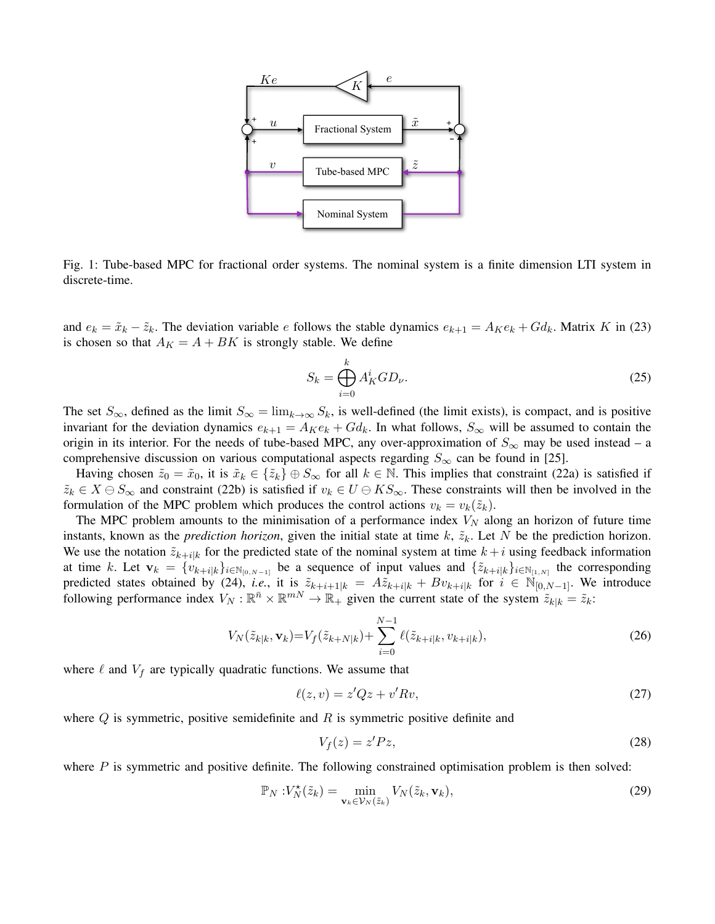

Fig. 1: Tube-based MPC for fractional order systems. The nominal system is a finite dimension LTI system in discrete-time.

and  $e_k = \tilde{x}_k - \tilde{z}_k$ . The deviation variable e follows the stable dynamics  $e_{k+1} = A_K e_k + G d_k$ . Matrix K in (23) is chosen so that  $A_K = A + BK$  is strongly stable. We define

$$
S_k = \bigoplus_{i=0}^k A_K^i G D_\nu.
$$
 (25)

The set  $S_{\infty}$ , defined as the limit  $S_{\infty} = \lim_{k \to \infty} S_k$ , is well-defined (the limit exists), is compact, and is positive invariant for the deviation dynamics  $e_{k+1} = A_K e_k + G d_k$ . In what follows,  $S_{\infty}$  will be assumed to contain the origin in its interior. For the needs of tube-based MPC, any over-approximation of  $S_{\infty}$  may be used instead – a comprehensive discussion on various computational aspects regarding  $S_{\infty}$  can be found in [25].

Having chosen  $\tilde{z}_0 = \tilde{x}_0$ , it is  $\tilde{x}_k \in {\tilde{z}_k} \oplus S_\infty$  for all  $k \in \mathbb{N}$ . This implies that constraint (22a) is satisfied if  $\tilde{z}_k \in X \ominus S_\infty$  and constraint (22b) is satisfied if  $v_k \in U \ominus KS_\infty$ . These constraints will then be involved in the formulation of the MPC problem which produces the control actions  $v_k = v_k(\tilde{z}_k)$ .

The MPC problem amounts to the minimisation of a performance index  $V_N$  along an horizon of future time instants, known as the *prediction horizon*, given the initial state at time  $k$ ,  $\tilde{z}_k$ . Let N be the prediction horizon. We use the notation  $\tilde{z}_{k+i|k}$  for the predicted state of the nominal system at time  $k+i$  using feedback information at time k. Let  $\mathbf{v}_k = \{v_{k+i|k}\}_{i \in \mathbb{N}_{[0,N-1]}}$  be a sequence of input values and  $\{\tilde{z}_{k+i|k}\}_{i \in \mathbb{N}_{[1,N]}}$  the corresponding predicted states obtained by (24), *i.e.*, it is  $\tilde{z}_{k+i+1|k} = A\tilde{z}_{k+i|k} + Bv_{k+i|k}$  for  $i \in \mathbb{N}_{[0,N-1]}$ . We introduce following performance index  $V_N : \mathbb{R}^{\bar{n}} \times \mathbb{R}^{mN} \to \mathbb{R}_+$  given the current state of the system  $\tilde{z}_{k|k} = \tilde{z}_k$ :

$$
V_N(\tilde{z}_{k|k}, \mathbf{v}_k) = V_f(\tilde{z}_{k+N|k}) + \sum_{i=0}^{N-1} \ell(\tilde{z}_{k+i|k}, v_{k+i|k}),
$$
\n(26)

where  $\ell$  and  $V_f$  are typically quadratic functions. We assume that

$$
\ell(z,v) = z'Qz + v'Rv,\tag{27}
$$

where  $Q$  is symmetric, positive semidefinite and  $R$  is symmetric positive definite and

$$
V_f(z) = z' P z,\tag{28}
$$

where  $P$  is symmetric and positive definite. The following constrained optimisation problem is then solved:

$$
\mathbb{P}_N : V_N^{\star}(\tilde{z}_k) = \min_{\mathbf{v}_k \in \mathcal{V}_N(\tilde{z}_k)} V_N(\tilde{z}_k, \mathbf{v}_k), \tag{29}
$$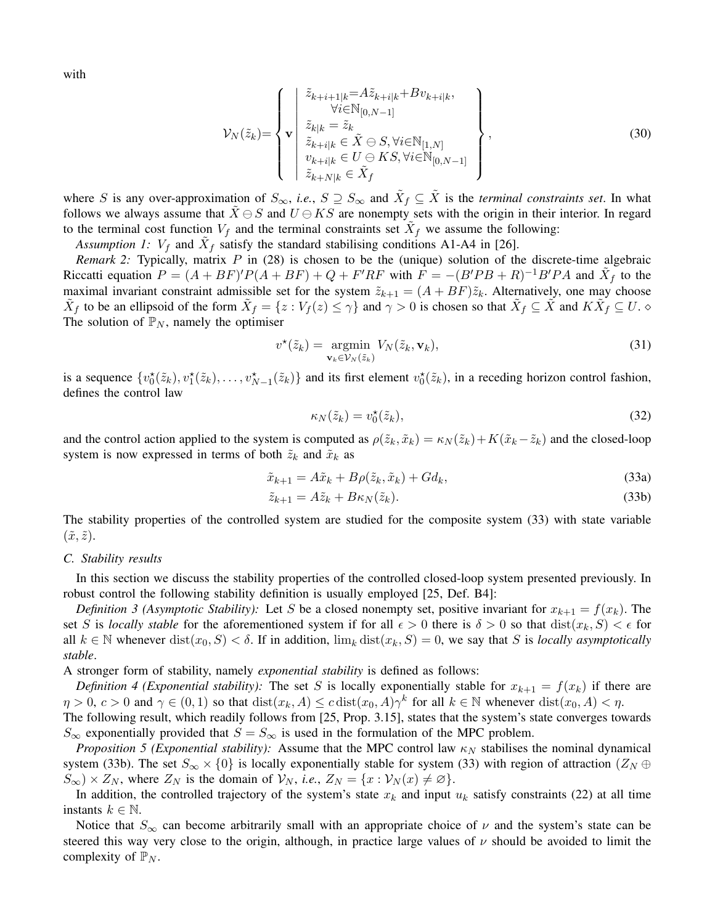with

$$
\mathcal{V}_{N}(\tilde{z}_{k}) = \left\{ \mathbf{v} \left| \begin{array}{c} \tilde{z}_{k+i+1|k} = A\tilde{z}_{k+i|k} + Bv_{k+i|k}, \\ \forall i \in \mathbb{N}_{[0,N-1]} \\ \tilde{z}_{k|k} = \tilde{z}_{k} \\ \tilde{z}_{k+i|k} \in \tilde{X} \ominus S, \forall i \in \mathbb{N}_{[1,N]} \\ v_{k+i|k} \in U \ominus KS, \forall i \in \mathbb{N}_{[0,N-1]} \\ \tilde{z}_{k+N|k} \in \tilde{X}_{f} \end{array} \right\},
$$
\n(30)

where S is any over-approximation of  $S_{\infty}$ , *i.e.*,  $S \supseteq S_{\infty}$  and  $\tilde{X}_f \subseteq \tilde{X}$  is the *terminal constraints set*. In what follows we always assume that  $\tilde{X} \ominus S$  and  $U \ominus KS$  are nonempty sets with the origin in their interior. In regard to the terminal cost function  $V_f$  and the terminal constraints set  $\tilde{X}_f$  we assume the following:

Assumption 1:  $V_f$  and  $\tilde{X}_f$  satisfy the standard stabilising conditions A1-A4 in [26].

*Remark 2:* Typically, matrix P in (28) is chosen to be the (unique) solution of the discrete-time algebraic Riccatti equation  $P = (A + BF)'P(A + BF) + Q + F'RF$  with  $F = -(B'PB + R)^{-1}B'PA$  and  $\tilde{X}_f$  to the maximal invariant constraint admissible set for the system  $\tilde{z}_{k+1} = (A + BF)\tilde{z}_k$ . Alternatively, one may choose  $\tilde{X}_f$  to be an ellipsoid of the form  $\tilde{X}_f = \{z : V_f(z) \le \gamma\}$  and  $\gamma > 0$  is chosen so that  $\tilde{X}_f \subseteq \tilde{X}$  and  $K\tilde{X}_f \subseteq U$ . The solution of  $\mathbb{P}_N$ , namely the optimiser

$$
v^{\star}(\tilde{z}_k) = \underset{\mathbf{v}_k \in \mathcal{V}_N(\tilde{z}_k)}{\operatorname{argmin}} V_N(\tilde{z}_k, \mathbf{v}_k),\tag{31}
$$

is a sequence  $\{v_0^*(\tilde{z}_k), v_1^*(\tilde{z}_k), \ldots, v_{N-1}^*(\tilde{z}_k)\}\$  and its first element  $v_0^*(\tilde{z}_k)$ , in a receding horizon control fashion, defines the control law

$$
\kappa_N(\tilde{z}_k) = v_0^{\star}(\tilde{z}_k),\tag{32}
$$

and the control action applied to the system is computed as  $\rho(\tilde{z}_k, \tilde{x}_k) = \kappa_N(\tilde{z}_k) + K(\tilde{x}_k - \tilde{z}_k)$  and the closed-loop system is now expressed in terms of both  $\tilde{z}_k$  and  $\tilde{x}_k$  as

$$
\tilde{x}_{k+1} = A\tilde{x}_k + B\rho(\tilde{z}_k, \tilde{x}_k) + Gd_k,\tag{33a}
$$

$$
\tilde{z}_{k+1} = A\tilde{z}_k + B\kappa_N(\tilde{z}_k). \tag{33b}
$$

The stability properties of the controlled system are studied for the composite system (33) with state variable  $(\tilde{x}, \tilde{z})$ .

# *C. Stability results*

In this section we discuss the stability properties of the controlled closed-loop system presented previously. In robust control the following stability definition is usually employed [25, Def. B4]:

*Definition 3 (Asymptotic Stability):* Let S be a closed nonempty set, positive invariant for  $x_{k+1} = f(x_k)$ . The set S is *locally stable* for the aforementioned system if for all  $\epsilon > 0$  there is  $\delta > 0$  so that  $dist(x_k, S) < \epsilon$  for all  $k \in \mathbb{N}$  whenever  $dist(x_0, S) < \delta$ . If in addition,  $\lim_k dist(x_k, S) = 0$ , we say that S is *locally asymptotically stable*.

A stronger form of stability, namely *exponential stability* is defined as follows:

*Definition 4 (Exponential stability):* The set S is locally exponentially stable for  $x_{k+1} = f(x_k)$  if there are  $\eta > 0$ ,  $c > 0$  and  $\gamma \in (0, 1)$  so that  $dist(x_k, A) \leq c \, dist(x_0, A) \gamma^k$  for all  $k \in \mathbb{N}$  whenever  $dist(x_0, A) < \eta$ . The following result, which readily follows from [25, Prop. 3.15], states that the system's state converges towards

 $S_{\infty}$  exponentially provided that  $S = S_{\infty}$  is used in the formulation of the MPC problem.

*Proposition 5 (Exponential stability):* Assume that the MPC control law  $\kappa_N$  stabilises the nominal dynamical system (33b). The set  $S_{\infty} \times \{0\}$  is locally exponentially stable for system (33) with region of attraction ( $Z_N \oplus$  $S_{\infty}$ ) × Z<sub>N</sub>, where Z<sub>N</sub> is the domain of  $\mathcal{V}_N$ , *i.e.*, Z<sub>N</sub> = {x :  $\mathcal{V}_N(x) \neq \emptyset$ }.

In addition, the controlled trajectory of the system's state  $x_k$  and input  $u_k$  satisfy constraints (22) at all time instants  $k \in \mathbb{N}$ .

Notice that  $S_{\infty}$  can become arbitrarily small with an appropriate choice of  $\nu$  and the system's state can be steered this way very close to the origin, although, in practice large values of  $\nu$  should be avoided to limit the complexity of  $\mathbb{P}_N$ .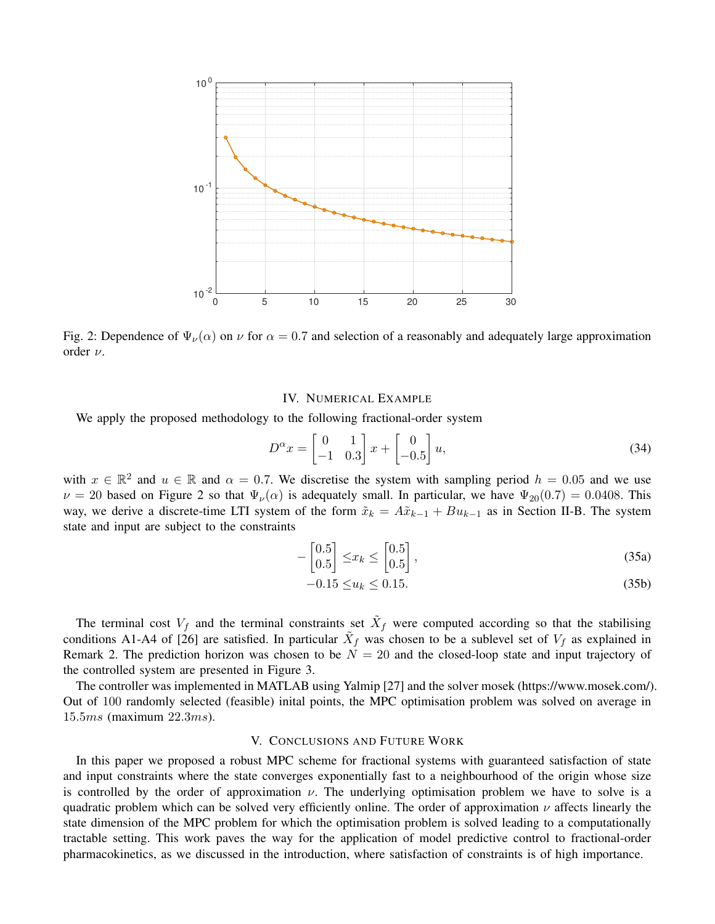

Fig. 2: Dependence of  $\Psi_{\nu}(\alpha)$  on  $\nu$  for  $\alpha = 0.7$  and selection of a reasonably and adequately large approximation order ν.

# IV. NUMERICAL EXAMPLE

We apply the proposed methodology to the following fractional-order system

$$
D^{\alpha}x = \begin{bmatrix} 0 & 1 \\ -1 & 0.3 \end{bmatrix} x + \begin{bmatrix} 0 \\ -0.5 \end{bmatrix} u,
$$
 (34)

with  $x \in \mathbb{R}^2$  and  $u \in \mathbb{R}$  and  $\alpha = 0.7$ . We discretise the system with sampling period  $h = 0.05$  and we use  $\nu = 20$  based on Figure 2 so that  $\Psi_{\nu}(\alpha)$  is adequately small. In particular, we have  $\Psi_{20}(0.7) = 0.0408$ . This way, we derive a discrete-time LTI system of the form  $\tilde{x}_k = A\tilde{x}_{k-1} + Bu_{k-1}$  as in Section II-B. The system state and input are subject to the constraints

$$
-\begin{bmatrix} 0.5\\0.5 \end{bmatrix} \leq x_k \leq \begin{bmatrix} 0.5\\0.5 \end{bmatrix},\tag{35a}
$$

$$
-0.15 \le u_k \le 0.15. \tag{35b}
$$

The terminal cost  $V_f$  and the terminal constraints set  $\tilde{X}_f$  were computed according so that the stabilising conditions A1-A4 of [26] are satisfied. In particular  $\tilde{X}_f$  was chosen to be a sublevel set of  $V_f$  as explained in Remark 2. The prediction horizon was chosen to be  $N = 20$  and the closed-loop state and input trajectory of the controlled system are presented in Figure 3.

The controller was implemented in MATLAB using Yalmip [27] and the solver mosek (https://www.mosek.com/). Out of 100 randomly selected (feasible) inital points, the MPC optimisation problem was solved on average in 15.5ms (maximum 22.3ms).

## V. CONCLUSIONS AND FUTURE WORK

In this paper we proposed a robust MPC scheme for fractional systems with guaranteed satisfaction of state and input constraints where the state converges exponentially fast to a neighbourhood of the origin whose size is controlled by the order of approximation  $\nu$ . The underlying optimisation problem we have to solve is a quadratic problem which can be solved very efficiently online. The order of approximation  $\nu$  affects linearly the state dimension of the MPC problem for which the optimisation problem is solved leading to a computationally tractable setting. This work paves the way for the application of model predictive control to fractional-order pharmacokinetics, as we discussed in the introduction, where satisfaction of constraints is of high importance.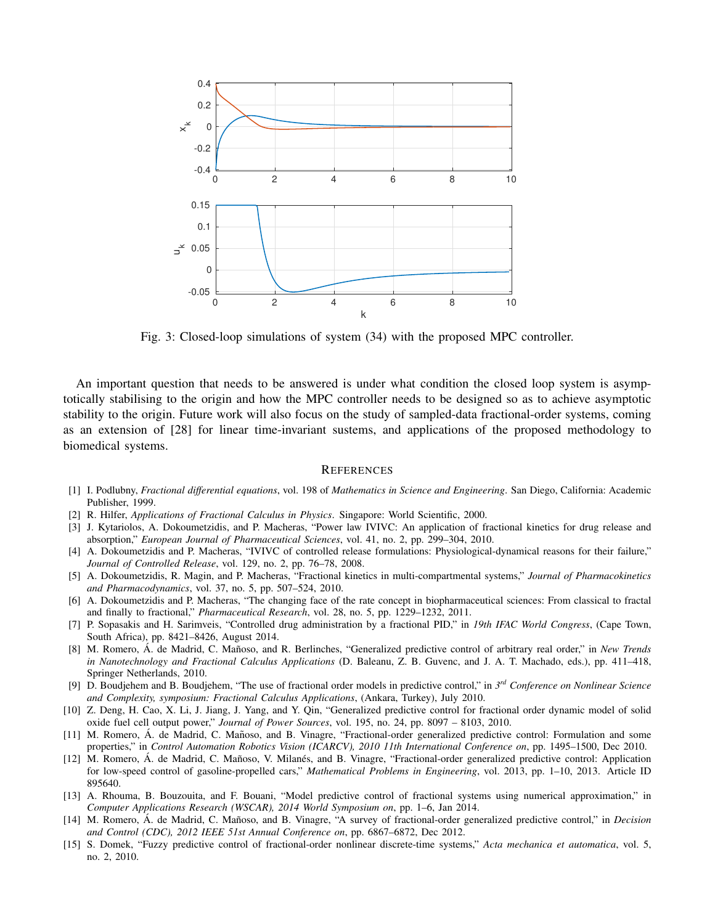

Fig. 3: Closed-loop simulations of system (34) with the proposed MPC controller.

An important question that needs to be answered is under what condition the closed loop system is asymptotically stabilising to the origin and how the MPC controller needs to be designed so as to achieve asymptotic stability to the origin. Future work will also focus on the study of sampled-data fractional-order systems, coming as an extension of [28] for linear time-invariant sustems, and applications of the proposed methodology to biomedical systems.

#### **REFERENCES**

- [1] I. Podlubny, *Fractional differential equations*, vol. 198 of *Mathematics in Science and Engineering*. San Diego, California: Academic Publisher, 1999.
- [2] R. Hilfer, *Applications of Fractional Calculus in Physics*. Singapore: World Scientific, 2000.
- [3] J. Kytariolos, A. Dokoumetzidis, and P. Macheras, "Power law IVIVC: An application of fractional kinetics for drug release and absorption," *European Journal of Pharmaceutical Sciences*, vol. 41, no. 2, pp. 299–304, 2010.
- [4] A. Dokoumetzidis and P. Macheras, "IVIVC of controlled release formulations: Physiological-dynamical reasons for their failure," *Journal of Controlled Release*, vol. 129, no. 2, pp. 76–78, 2008.
- [5] A. Dokoumetzidis, R. Magin, and P. Macheras, "Fractional kinetics in multi-compartmental systems," *Journal of Pharmacokinetics and Pharmacodynamics*, vol. 37, no. 5, pp. 507–524, 2010.
- [6] A. Dokoumetzidis and P. Macheras, "The changing face of the rate concept in biopharmaceutical sciences: From classical to fractal and finally to fractional," *Pharmaceutical Research*, vol. 28, no. 5, pp. 1229–1232, 2011.
- [7] P. Sopasakis and H. Sarimveis, "Controlled drug administration by a fractional PID," in *19th IFAC World Congress*, (Cape Town, South Africa), pp. 8421–8426, August 2014.
- [8] M. Romero, A. de Madrid, C. Mañoso, and R. Berlinches, "Generalized predictive control of arbitrary real order," in New Trends *in Nanotechnology and Fractional Calculus Applications* (D. Baleanu, Z. B. Guvenc, and J. A. T. Machado, eds.), pp. 411–418, Springer Netherlands, 2010.
- [9] D. Boudjehem and B. Boudjehem, "The use of fractional order models in predictive control," in *3 rd Conference on Nonlinear Science and Complexity, symposium: Fractional Calculus Applications*, (Ankara, Turkey), July 2010.
- [10] Z. Deng, H. Cao, X. Li, J. Jiang, J. Yang, and Y. Qin, "Generalized predictive control for fractional order dynamic model of solid oxide fuel cell output power," *Journal of Power Sources*, vol. 195, no. 24, pp. 8097 – 8103, 2010.
- [11] M. Romero, Á. de Madrid, C. Mañoso, and B. Vinagre, "Fractional-order generalized predictive control: Formulation and some properties," in *Control Automation Robotics Vision (ICARCV), 2010 11th International Conference on*, pp. 1495–1500, Dec 2010.
- [12] M. Romero, Á. de Madrid, C. Mañoso, V. Milanés, and B. Vinagre, "Fractional-order generalized predictive control: Application for low-speed control of gasoline-propelled cars," *Mathematical Problems in Engineering*, vol. 2013, pp. 1–10, 2013. Article ID 895640.
- [13] A. Rhouma, B. Bouzouita, and F. Bouani, "Model predictive control of fractional systems using numerical approximation," in *Computer Applications Research (WSCAR), 2014 World Symposium on*, pp. 1–6, Jan 2014.
- [14] M. Romero, Á. de Madrid, C. Mañoso, and B. Vinagre, "A survey of fractional-order generalized predictive control," in *Decision and Control (CDC), 2012 IEEE 51st Annual Conference on*, pp. 6867–6872, Dec 2012.
- [15] S. Domek, "Fuzzy predictive control of fractional-order nonlinear discrete-time systems," *Acta mechanica et automatica*, vol. 5, no. 2, 2010.